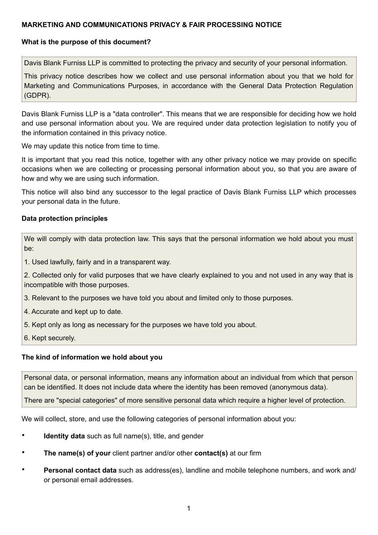# **MARKETING AND COMMUNICATIONS PRIVACY & FAIR PROCESSING NOTICE**

### **What is the purpose of this document?**

Davis Blank Furniss LLP is committed to protecting the privacy and security of your personal information.

This privacy notice describes how we collect and use personal information about you that we hold for Marketing and Communications Purposes, in accordance with the General Data Protection Regulation (GDPR).

Davis Blank Furniss LLP is a "data controller". This means that we are responsible for deciding how we hold and use personal information about you. We are required under data protection legislation to notify you of the information contained in this privacy notice.

We may update this notice from time to time.

It is important that you read this notice, together with any other privacy notice we may provide on specific occasions when we are collecting or processing personal information about you, so that you are aware of how and why we are using such information.

This notice will also bind any successor to the legal practice of Davis Blank Furniss LLP which processes your personal data in the future.

#### **Data protection principles**

We will comply with data protection law. This says that the personal information we hold about you must be:

1. Used lawfully, fairly and in a transparent way.

2. Collected only for valid purposes that we have clearly explained to you and not used in any way that is incompatible with those purposes.

3. Relevant to the purposes we have told you about and limited only to those purposes.

4. Accurate and kept up to date.

5. Kept only as long as necessary for the purposes we have told you about.

6. Kept securely.

#### **The kind of information we hold about you**

Personal data, or personal information, means any information about an individual from which that person can be identified. It does not include data where the identity has been removed (anonymous data).

There are "special categories" of more sensitive personal data which require a higher level of protection.

We will collect, store, and use the following categories of personal information about you:

- **Identity data** such as full name(s), title, and gender
- **The name(s) of your** client partner and/or other **contact(s)** at our firm
- **Personal contact data** such as address(es), landline and mobile telephone numbers, and work and/ or personal email addresses.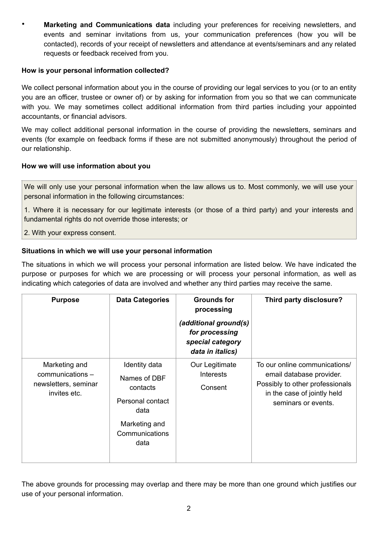• **Marketing and Communications data** including your preferences for receiving newsletters, and events and seminar invitations from us, your communication preferences (how you will be contacted), records of your receipt of newsletters and attendance at events/seminars and any related requests or feedback received from you.

### **How is your personal information collected?**

We collect personal information about you in the course of providing our legal services to you (or to an entity you are an officer, trustee or owner of) or by asking for information from you so that we can communicate with you. We may sometimes collect additional information from third parties including your appointed accountants, or financial advisors.

We may collect additional personal information in the course of providing the newsletters, seminars and events (for example on feedback forms if these are not submitted anonymously) throughout the period of our relationship.

### **How we will use information about you**

We will only use your personal information when the law allows us to. Most commonly, we will use your personal information in the following circumstances:

1. Where it is necessary for our legitimate interests (or those of a third party) and your interests and fundamental rights do not override those interests; or

2. With your express consent.

# **Situations in which we will use your personal information**

The situations in which we will process your personal information are listed below. We have indicated the purpose or purposes for which we are processing or will process your personal information, as well as indicating which categories of data are involved and whether any third parties may receive the same.

| <b>Purpose</b>                                                            | <b>Data Categories</b>                                                                                           | <b>Grounds for</b><br>processing<br>(additional ground(s)<br>for processing<br>special category<br>data in italics) | Third party disclosure?                                                                                                                            |
|---------------------------------------------------------------------------|------------------------------------------------------------------------------------------------------------------|---------------------------------------------------------------------------------------------------------------------|----------------------------------------------------------------------------------------------------------------------------------------------------|
| Marketing and<br>communications -<br>newsletters, seminar<br>invites etc. | Identity data<br>Names of DBF<br>contacts<br>Personal contact<br>data<br>Marketing and<br>Communications<br>data | Our Legitimate<br><b>Interests</b><br>Consent                                                                       | To our online communications/<br>email database provider.<br>Possibly to other professionals<br>in the case of jointly held<br>seminars or events. |

The above grounds for processing may overlap and there may be more than one ground which justifies our use of your personal information.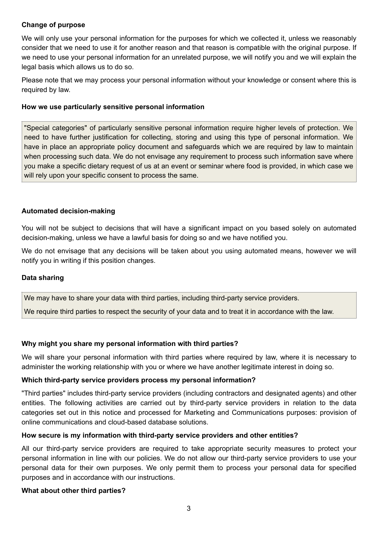# **Change of purpose**

We will only use your personal information for the purposes for which we collected it, unless we reasonably consider that we need to use it for another reason and that reason is compatible with the original purpose. If we need to use your personal information for an unrelated purpose, we will notify you and we will explain the legal basis which allows us to do so.

Please note that we may process your personal information without your knowledge or consent where this is required by law.

#### **How we use particularly sensitive personal information**

"Special categories" of particularly sensitive personal information require higher levels of protection. We need to have further justification for collecting, storing and using this type of personal information. We have in place an appropriate policy document and safeguards which we are required by law to maintain when processing such data. We do not envisage any requirement to process such information save where you make a specific dietary request of us at an event or seminar where food is provided, in which case we will rely upon your specific consent to process the same.

#### **Automated decision-making**

You will not be subject to decisions that will have a significant impact on you based solely on automated decision-making, unless we have a lawful basis for doing so and we have notified you.

We do not envisage that any decisions will be taken about you using automated means, however we will notify you in writing if this position changes.

#### **Data sharing**

We may have to share your data with third parties, including third-party service providers.

We require third parties to respect the security of your data and to treat it in accordance with the law.

#### **Why might you share my personal information with third parties?**

We will share your personal information with third parties where required by law, where it is necessary to administer the working relationship with you or where we have another legitimate interest in doing so.

#### **Which third-party service providers process my personal information?**

"Third parties" includes third-party service providers (including contractors and designated agents) and other entities. The following activities are carried out by third-party service providers in relation to the data categories set out in this notice and processed for Marketing and Communications purposes: provision of online communications and cloud-based database solutions.

#### **How secure is my information with third-party service providers and other entities?**

All our third-party service providers are required to take appropriate security measures to protect your personal information in line with our policies. We do not allow our third-party service providers to use your personal data for their own purposes. We only permit them to process your personal data for specified purposes and in accordance with our instructions.

#### **What about other third parties?**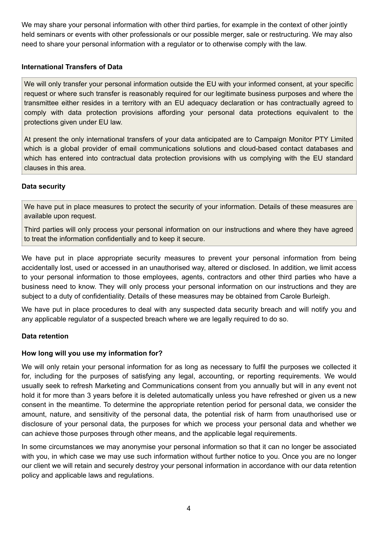We may share your personal information with other third parties, for example in the context of other jointly held seminars or events with other professionals or our possible merger, sale or restructuring. We may also need to share your personal information with a regulator or to otherwise comply with the law.

# **International Transfers of Data**

We will only transfer your personal information outside the EU with your informed consent, at your specific request or where such transfer is reasonably required for our legitimate business purposes and where the transmittee either resides in a territory with an EU adequacy declaration or has contractually agreed to comply with data protection provisions affording your personal data protections equivalent to the protections given under EU law.

At present the only international transfers of your data anticipated are to Campaign Monitor PTY Limited which is a global provider of email communications solutions and cloud-based contact databases and which has entered into contractual data protection provisions with us complying with the EU standard clauses in this area.

### **Data security**

We have put in place measures to protect the security of your information. Details of these measures are available upon request.

Third parties will only process your personal information on our instructions and where they have agreed to treat the information confidentially and to keep it secure.

We have put in place appropriate security measures to prevent your personal information from being accidentally lost, used or accessed in an unauthorised way, altered or disclosed. In addition, we limit access to your personal information to those employees, agents, contractors and other third parties who have a business need to know. They will only process your personal information on our instructions and they are subject to a duty of confidentiality. Details of these measures may be obtained from Carole Burleigh.

We have put in place procedures to deal with any suspected data security breach and will notify you and any applicable regulator of a suspected breach where we are legally required to do so.

#### **Data retention**

#### **How long will you use my information for?**

We will only retain your personal information for as long as necessary to fulfil the purposes we collected it for, including for the purposes of satisfying any legal, accounting, or reporting requirements. We would usually seek to refresh Marketing and Communications consent from you annually but will in any event not hold it for more than 3 years before it is deleted automatically unless you have refreshed or given us a new consent in the meantime. To determine the appropriate retention period for personal data, we consider the amount, nature, and sensitivity of the personal data, the potential risk of harm from unauthorised use or disclosure of your personal data, the purposes for which we process your personal data and whether we can achieve those purposes through other means, and the applicable legal requirements.

In some circumstances we may anonymise your personal information so that it can no longer be associated with you, in which case we may use such information without further notice to you. Once you are no longer our client we will retain and securely destroy your personal information in accordance with our data retention policy and applicable laws and regulations.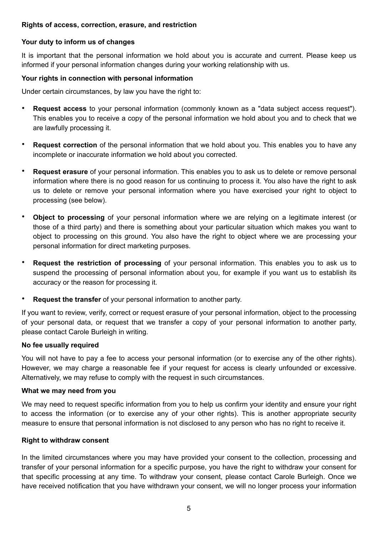# **Rights of access, correction, erasure, and restriction**

## **Your duty to inform us of changes**

It is important that the personal information we hold about you is accurate and current. Please keep us informed if your personal information changes during your working relationship with us.

### **Your rights in connection with personal information**

Under certain circumstances, by law you have the right to:

- **Request access** to your personal information (commonly known as a "data subject access request"). This enables you to receive a copy of the personal information we hold about you and to check that we are lawfully processing it.
- **Request correction** of the personal information that we hold about you. This enables you to have any incomplete or inaccurate information we hold about you corrected.
- **Request erasure** of your personal information. This enables you to ask us to delete or remove personal information where there is no good reason for us continuing to process it. You also have the right to ask us to delete or remove your personal information where you have exercised your right to object to processing (see below).
- **Object to processing** of your personal information where we are relying on a legitimate interest (or those of a third party) and there is something about your particular situation which makes you want to object to processing on this ground. You also have the right to object where we are processing your personal information for direct marketing purposes.
- **Request the restriction of processing** of your personal information. This enables you to ask us to suspend the processing of personal information about you, for example if you want us to establish its accuracy or the reason for processing it.
- **Request the transfer** of your personal information to another party.

If you want to review, verify, correct or request erasure of your personal information, object to the processing of your personal data, or request that we transfer a copy of your personal information to another party, please contact Carole Burleigh in writing.

#### **No fee usually required**

You will not have to pay a fee to access your personal information (or to exercise any of the other rights). However, we may charge a reasonable fee if your request for access is clearly unfounded or excessive. Alternatively, we may refuse to comply with the request in such circumstances.

#### **What we may need from you**

We may need to request specific information from you to help us confirm your identity and ensure your right to access the information (or to exercise any of your other rights). This is another appropriate security measure to ensure that personal information is not disclosed to any person who has no right to receive it.

#### **Right to withdraw consent**

In the limited circumstances where you may have provided your consent to the collection, processing and transfer of your personal information for a specific purpose, you have the right to withdraw your consent for that specific processing at any time. To withdraw your consent, please contact Carole Burleigh. Once we have received notification that you have withdrawn your consent, we will no longer process your information